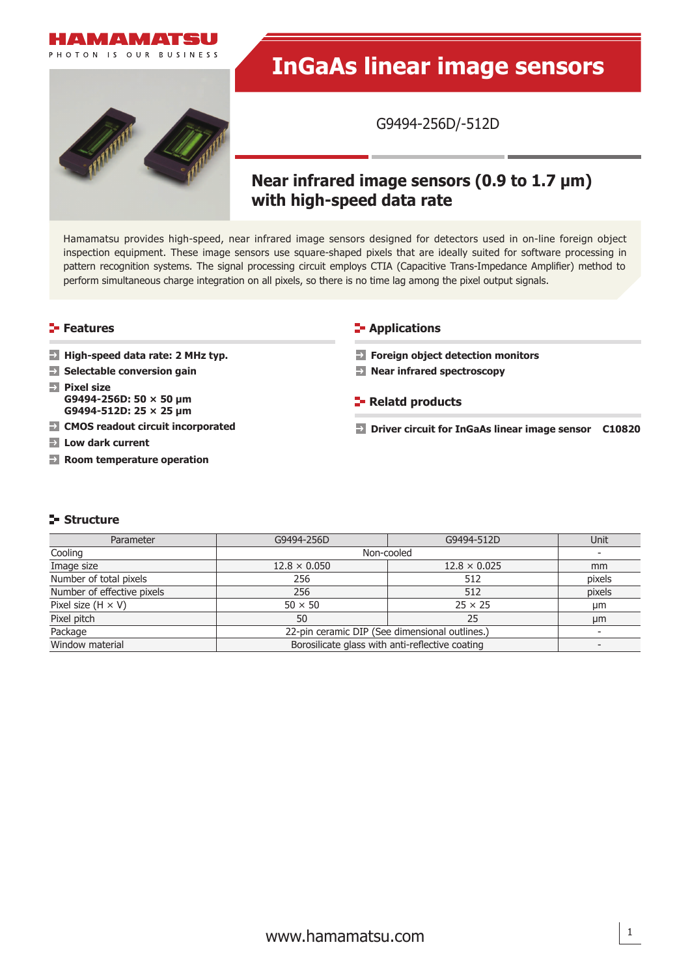



# **InGaAs linear image sensors**

G9494-256D/-512D

# **Near infrared image sensors (0.9 to 1.7 μm) with high-speed data rate**

Hamamatsu provides high-speed, near infrared image sensors designed for detectors used in on-line foreign object inspection equipment. These image sensors use square-shaped pixels that are ideally suited for software processing in pattern recognition systems. The signal processing circuit employs CTIA (Capacitive Trans-Impedance Amplifier) method to perform simultaneous charge integration on all pixels, so there is no time lag among the pixel output signals.

**High-speed data rate: 2 MHz typ.**

- **Selectable conversion gain**
- **Pixel size G9494-256D: 50 × 50 μm G9494-512D: 25 × 25 μm**
- **CMOS readout circuit incorporated**
- **Low dark current**
- **Room temperature operation**

#### **Features Applications CO**

- **Foreign object detection monitors**
- **Near infrared spectroscopy**
- **Relatd products**
- **Driver circuit for InGaAs linear image sensor C10820**

# **Structure**

| Parameter                  | G9494-256D                                      | G9494-512D          | Unit          |
|----------------------------|-------------------------------------------------|---------------------|---------------|
| Cooling                    | Non-cooled                                      |                     |               |
| Image size                 | $12.8 \times 0.050$                             | $12.8 \times 0.025$ | <sub>mm</sub> |
| Number of total pixels     | 256                                             | 512                 | pixels        |
| Number of effective pixels | 256                                             | 512                 | pixels        |
| Pixel size $(H \times V)$  | $50 \times 50$                                  | $25 \times 25$      | μm            |
| Pixel pitch                | 50                                              | 25                  | μm            |
| Package                    | 22-pin ceramic DIP (See dimensional outlines.)  |                     |               |
| Window material            | Borosilicate glass with anti-reflective coating |                     |               |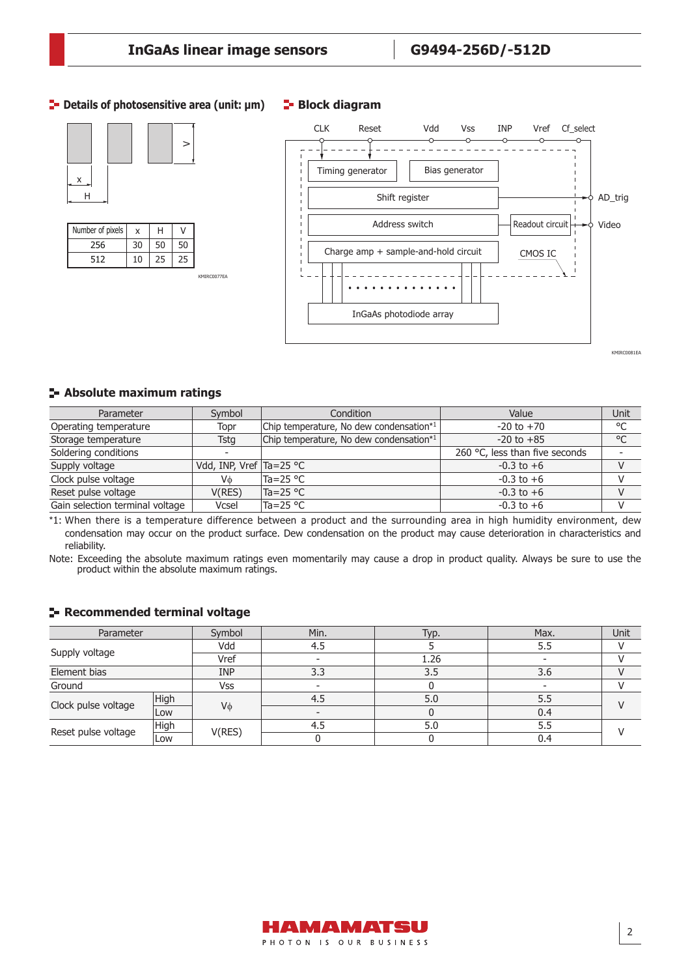KMIRC0077EA

# **Details of photosensitive area (unit: μm)**





**Block diagram** 



# **Absolute maximum ratings**

| Parameter                       | Symbol                      | Condition                               | Value                                   | Unit         |
|---------------------------------|-----------------------------|-----------------------------------------|-----------------------------------------|--------------|
| Operating temperature           | Topr                        | Chip temperature, No dew condensation*1 | $-20$ to $+70$                          | °C           |
| Storage temperature             | Tsta                        | Chip temperature, No dew condensation*1 | $-20$ to $+85$                          | $^{\circ}$ C |
| Soldering conditions            |                             |                                         | 260 $\degree$ C, less than five seconds |              |
| Supply voltage                  | Vdd, INP, Vref $Ta = 25 °C$ |                                         | $-0.3$ to $+6$                          |              |
| Clock pulse voltage             | Vф                          | lTa=25 °C                               | $-0.3$ to $+6$                          |              |
| Reset pulse voltage             | V(RES)                      | $Ta = 25 °C$                            | $-0.3$ to $+6$                          |              |
| Gain selection terminal voltage | Vcsel                       | Ta=25 °C                                | $-0.3$ to $+6$                          |              |

\*1: When there is a temperature difference between a product and the surrounding area in high humidity environment, dew condensation may occur on the product surface. Dew condensation on the product may cause deterioration in characteristics and reliability.

Note: Exceeding the absolute maximum ratings even momentarily may cause a drop in product quality. Always be sure to use the product within the absolute maximum ratings.

#### **Recommended terminal voltage**

| Parameter                          |      | Symbol     | Min. | Typ. | Max. | Unit |
|------------------------------------|------|------------|------|------|------|------|
|                                    |      | Vdd        |      |      | 5.5  |      |
| Supply voltage                     |      | Vref       |      | 1.26 |      |      |
| Element bias                       |      | <b>INP</b> | 3.3  | 3.5  | 3.6  |      |
| Ground                             |      | Vss        |      |      |      |      |
| High<br>Clock pulse voltage<br>Low |      |            | 4.5  | 5.0  | 5.5  |      |
|                                    |      | Vφ         |      |      | 0.4  |      |
| Reset pulse voltage                | High |            | 4.5  | 5.0  | 5.5  |      |
|                                    | Low  | V(RES)     |      |      | 0.4  |      |

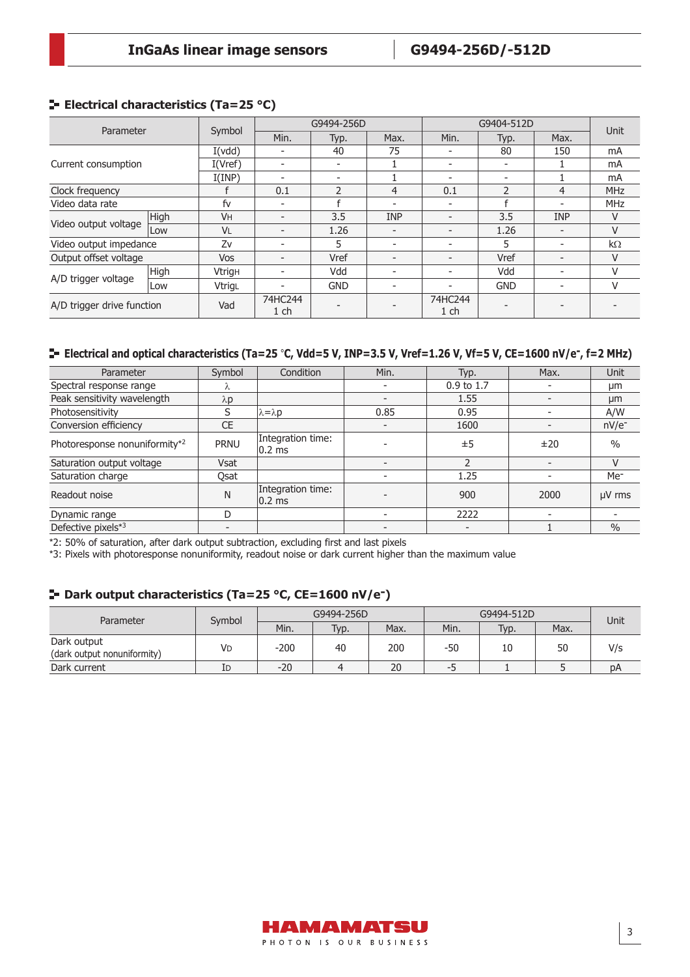# **E** Electrical characteristics (Ta=25 °C)

| Parameter                  |            |               |                          | G9494-256D               |                          |                          | G9404-512D               |                | Unit           |  |
|----------------------------|------------|---------------|--------------------------|--------------------------|--------------------------|--------------------------|--------------------------|----------------|----------------|--|
|                            |            | Symbol        | Min.                     | Typ.                     | Max.                     | Min.                     | Typ.                     | Max.           |                |  |
|                            |            | I(vdd)        | $\overline{\phantom{0}}$ | 40                       | 75                       |                          | 80                       | 150            | mA             |  |
| Current consumption        |            | I(Vref)       | $\overline{\phantom{0}}$ | $\overline{\phantom{0}}$ |                          |                          |                          |                | m <sub>A</sub> |  |
|                            |            | I(IMP)        | $\overline{\phantom{0}}$ | $\overline{\phantom{0}}$ |                          | $\overline{\phantom{a}}$ | $\overline{\phantom{0}}$ |                | mA             |  |
| Clock frequency            |            |               | 0.1                      | $\mathcal{P}$            | 4                        | 0.1                      | $\mathcal{P}$            | $\overline{4}$ | <b>MHz</b>     |  |
| Video data rate            |            | fv            | $\overline{\phantom{0}}$ |                          | $\overline{a}$           | $\overline{\phantom{a}}$ |                          |                | <b>MHz</b>     |  |
|                            | High       | <b>VH</b>     | $\overline{\phantom{0}}$ | 3.5                      | <b>INP</b>               |                          | 3.5                      | <b>INP</b>     | V              |  |
| Video output voltage       | <b>Low</b> | <b>VL</b>     | $\overline{\phantom{a}}$ | 1.26                     | $\overline{\phantom{0}}$ | $\overline{\phantom{0}}$ | 1.26                     |                | $\vee$         |  |
| Video output impedance     |            | Zv            | -                        | 5                        | $\overline{\phantom{a}}$ | $\overline{\phantom{a}}$ | 5                        |                | $k\Omega$      |  |
| Output offset voltage      |            | <b>Vos</b>    | $\overline{\phantom{0}}$ | Vref                     | $\overline{\phantom{0}}$ | $\overline{\phantom{0}}$ | Vref                     |                | V              |  |
|                            | High       | <b>Vtrigh</b> |                          | Vdd                      |                          | $\overline{\phantom{a}}$ | Vdd                      |                | V              |  |
| A/D trigger voltage        | Low        | VtrigL        | $\overline{\phantom{0}}$ | <b>GND</b>               |                          |                          | <b>GND</b>               |                | V              |  |
| A/D trigger drive function |            | Vad           | 74HC244<br>1 ch          |                          |                          | 74HC244<br>$1$ ch        |                          |                |                |  |

# **Electrical and optical characteristics (Ta=25** °**C, Vdd=5 V, INP=3.5 V, Vref=1.26 V, Vf=5 V, CE=1600 nV/e-, f=2 MHz)**

| Parameter                     | Symbol      | Condition                               | Min.                     | Typ.       | Max. | Unit            |
|-------------------------------|-------------|-----------------------------------------|--------------------------|------------|------|-----------------|
| Spectral response range       |             |                                         |                          | 0.9 to 1.7 |      | µm              |
| Peak sensitivity wavelength   | $\lambda p$ |                                         |                          | 1.55       |      | µm              |
| Photosensitivity              | S           | $\lambda = \lambda p$                   | 0.85                     | 0.95       |      | A/W             |
| Conversion efficiency         | <b>CE</b>   |                                         | $\overline{\phantom{0}}$ | 1600       |      | $nV/e^-$        |
| Photoresponse nonuniformity*2 | <b>PRNU</b> | Integration time:<br>$ 0.2 \text{ ms} $ |                          | ±5         | ±20  | $\frac{0}{0}$   |
| Saturation output voltage     | Vsat        |                                         |                          |            |      | V               |
| Saturation charge             | Osat        |                                         |                          | 1.25       |      | Me <sup>-</sup> |
| Readout noise                 | N           | Integration time:<br>$ 0.2 \text{ ms} $ |                          | 900        | 2000 | µV rms          |
| Dynamic range                 | D           |                                         |                          | 2222       |      |                 |
| Defective pixels*3            |             |                                         |                          |            |      | $\frac{0}{0}$   |

\*2: 50% of saturation, after dark output subtraction, excluding first and last pixels

\*3: Pixels with photoresponse nonuniformity, readout noise or dark current higher than the maximum value

# **Dark output characteristics (Ta=25 °C, CE=1600 nV/e-)**

| Parameter                                  | Symbol |        | G9494-256D |      |      | G9494-512D |      | Unit |  |
|--------------------------------------------|--------|--------|------------|------|------|------------|------|------|--|
|                                            |        | Min.   | Typ.       | Max. | Min. | Typ.       | Max. |      |  |
| Dark output<br>(dark output nonuniformity) | VD     | $-200$ | 40         | 200  | -50  | 10         | 50   | V/s  |  |
| Dark current                               | ID     | $-20$  |            | 20   | --   |            |      | DA   |  |

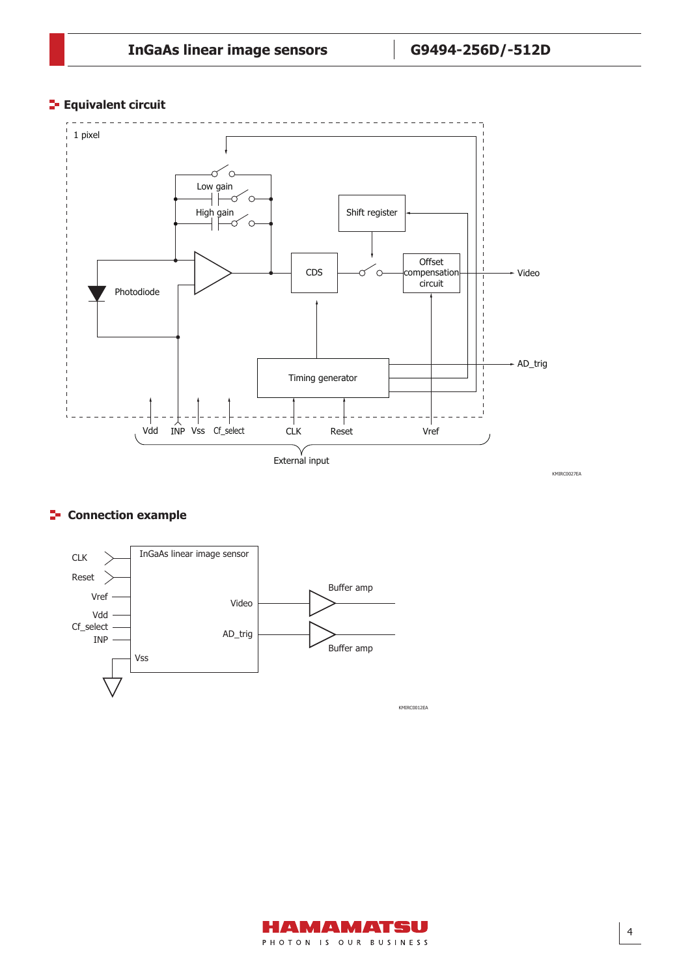# **Equivalent circuit**



# $F$  Connection example



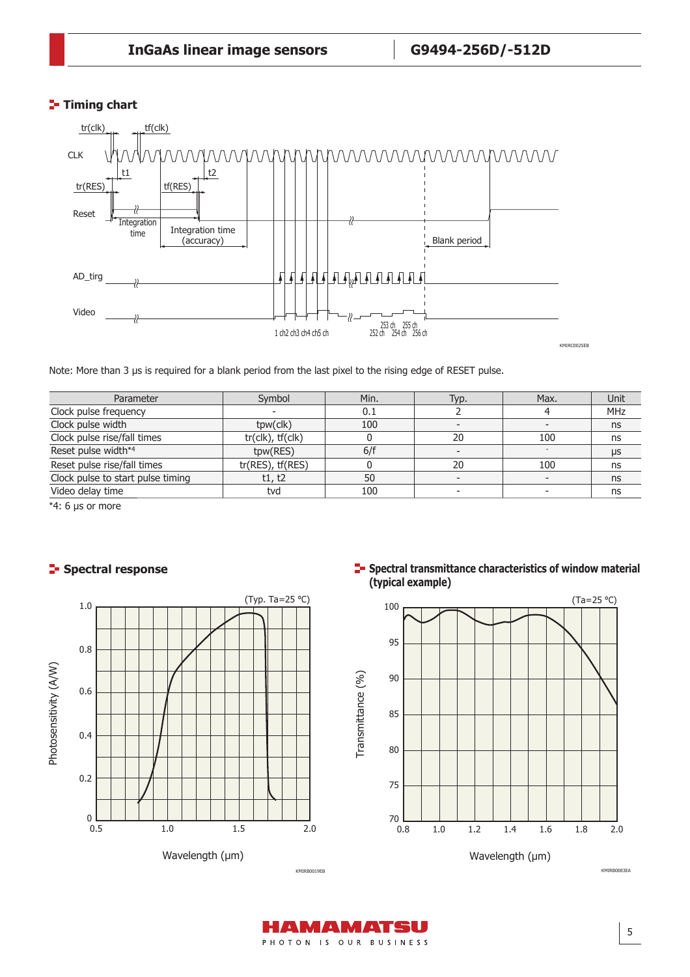# **Timing chart**



Note: More than 3 μs is required for a blank period from the last pixel to the rising edge of RESET pulse.

| Parameter                         | Symbol                        | Min. | Typ. | Max. | Unit |
|-----------------------------------|-------------------------------|------|------|------|------|
| Clock pulse frequency             |                               | 0.1  |      |      | MHz  |
| Clock pulse width                 | tpw(clk)                      | 100  |      |      | ns   |
| Clock pulse rise/fall times       | $tr($ clk $)$ , $tr($ clk $)$ |      | 20   | 100  | ns   |
| Reset pulse width*4               | tpw(RES)                      | 6/f  |      |      | μs   |
| Reset pulse rise/fall times       | $tr(RES)$ , $tf(RES)$         |      | 20   | 100  | ns   |
| Clock pulse to start pulse timing | t1, t2                        | 50   |      |      | ns   |
| Video delay time                  | tvd                           | 100  |      |      | ns   |

\*4: 6 μs or more

# **Spectral response**



**Spectral transmittance characteristics of window material (typical example)**



KMIRB0083EA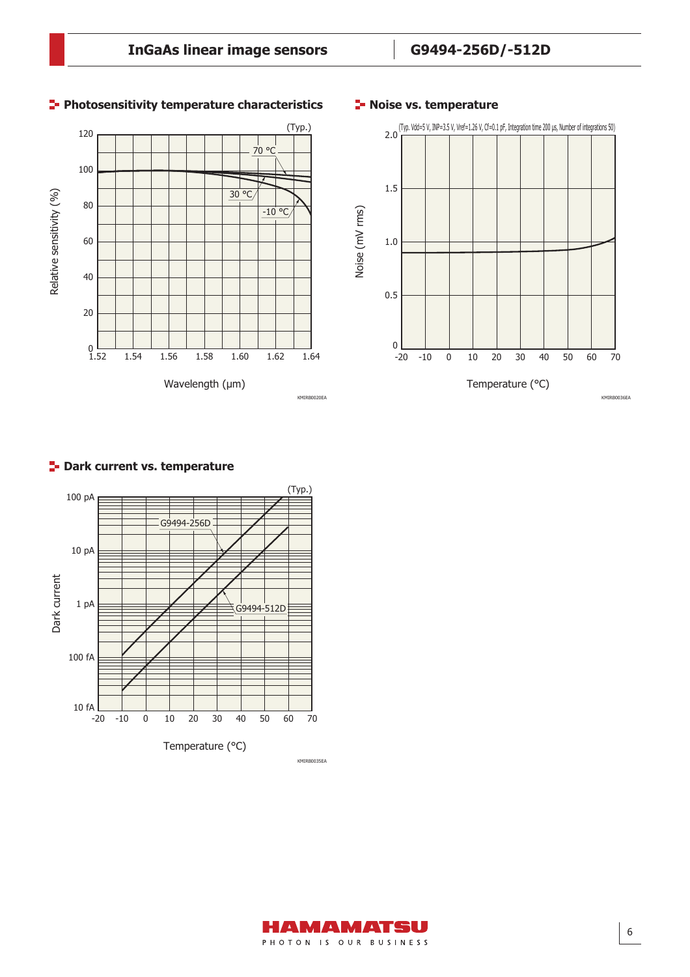

# **Photosensitivity temperature characteristics**

# **F-** Noise vs. temperature



# **Park current vs. temperature**



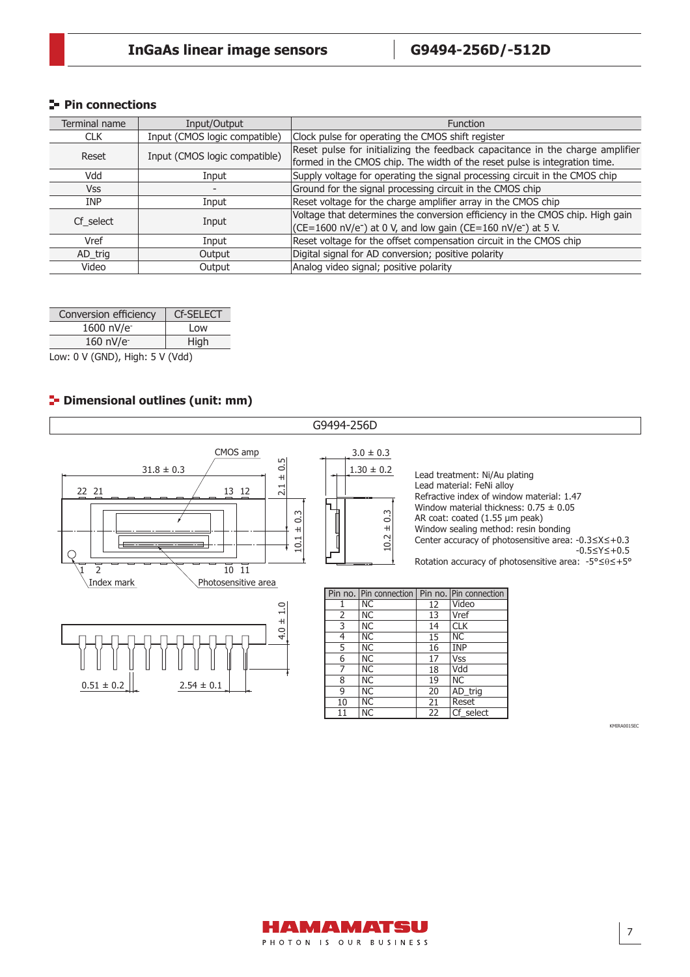# **Pin connections**

| Terminal name | Input/Output                  | <b>Function</b>                                                                       |
|---------------|-------------------------------|---------------------------------------------------------------------------------------|
| <b>CLK</b>    | Input (CMOS logic compatible) | Clock pulse for operating the CMOS shift register                                     |
| Reset         | Input (CMOS logic compatible) | Reset pulse for initializing the feedback capacitance in the charge amplifier         |
|               |                               | formed in the CMOS chip. The width of the reset pulse is integration time.            |
| Vdd           | Input                         | Supply voltage for operating the signal processing circuit in the CMOS chip           |
| Vss           |                               | Ground for the signal processing circuit in the CMOS chip                             |
| <b>INP</b>    | Input                         | Reset voltage for the charge amplifier array in the CMOS chip                         |
| Cf select     | Input                         | Voltage that determines the conversion efficiency in the CMOS chip. High gain         |
|               |                               | $(CE=1600 \text{ nV/e}^{-})$ at 0 V, and low gain (CE=160 nV/e <sup>-</sup> ) at 5 V. |
| Vref          | Input                         | Reset voltage for the offset compensation circuit in the CMOS chip                    |
| AD_trig       | Output                        | Digital signal for AD conversion; positive polarity                                   |
| Video         | Output                        | Analog video signal; positive polarity                                                |

| Conversion efficiency | <b>Cf-SELECT</b> |
|-----------------------|------------------|
| 1600 nV/e             | l ow             |
| 160 nV/e              | High             |

Low: 0 V (GND), High: 5 V (Vdd)

# **P** Dimensional outlines (unit: mm)



KMIRA0015EC